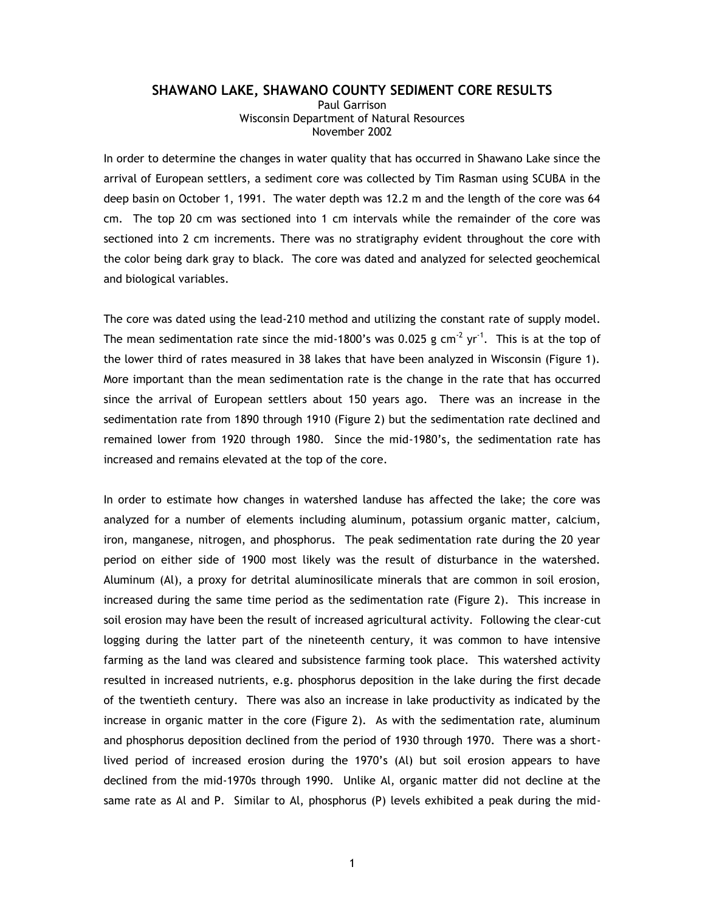## **SHAWANO LAKE, SHAWANO COUNTY SEDIMENT CORE RESULTS**

Paul Garrison Wisconsin Department of Natural Resources November 2002

In order to determine the changes in water quality that has occurred in Shawano Lake since the arrival of European settlers, a sediment core was collected by Tim Rasman using SCUBA in the deep basin on October 1, 1991. The water depth was 12.2 m and the length of the core was 64 cm. The top 20 cm was sectioned into 1 cm intervals while the remainder of the core was sectioned into 2 cm increments. There was no stratigraphy evident throughout the core with the color being dark gray to black. The core was dated and analyzed for selected geochemical and biological variables.

The core was dated using the lead-210 method and utilizing the constant rate of supply model. The mean sedimentation rate since the mid-1800's was 0.025 g cm<sup>-2</sup> yr<sup>-1</sup>. This is at the top of the lower third of rates measured in 38 lakes that have been analyzed in Wisconsin (Figure 1). More important than the mean sedimentation rate is the change in the rate that has occurred since the arrival of European settlers about 150 years ago. There was an increase in the sedimentation rate from 1890 through 1910 (Figure 2) but the sedimentation rate declined and remained lower from 1920 through 1980. Since the mid-1980's, the sedimentation rate has increased and remains elevated at the top of the core.

In order to estimate how changes in watershed landuse has affected the lake; the core was analyzed for a number of elements including aluminum, potassium organic matter, calcium, iron, manganese, nitrogen, and phosphorus. The peak sedimentation rate during the 20 year period on either side of 1900 most likely was the result of disturbance in the watershed. Aluminum (Al), a proxy for detrital aluminosilicate minerals that are common in soil erosion, increased during the same time period as the sedimentation rate (Figure 2). This increase in soil erosion may have been the result of increased agricultural activity. Following the clear-cut logging during the latter part of the nineteenth century, it was common to have intensive farming as the land was cleared and subsistence farming took place. This watershed activity resulted in increased nutrients, e.g. phosphorus deposition in the lake during the first decade of the twentieth century. There was also an increase in lake productivity as indicated by the increase in organic matter in the core (Figure 2). As with the sedimentation rate, aluminum and phosphorus deposition declined from the period of 1930 through 1970. There was a shortlived period of increased erosion during the 1970's (Al) but soil erosion appears to have declined from the mid-1970s through 1990. Unlike Al, organic matter did not decline at the same rate as Al and P. Similar to Al, phosphorus (P) levels exhibited a peak during the mid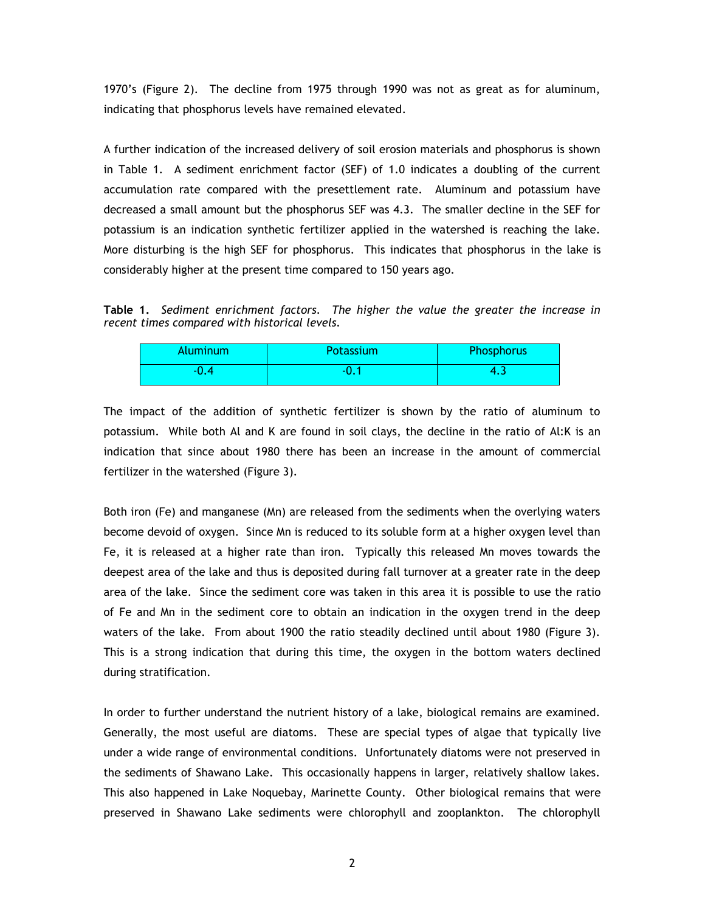1970's (Figure 2). The decline from 1975 through 1990 was not as great as for aluminum, indicating that phosphorus levels have remained elevated.

A further indication of the increased delivery of soil erosion materials and phosphorus is shown in Table 1. A sediment enrichment factor (SEF) of 1.0 indicates a doubling of the current accumulation rate compared with the presettlement rate. Aluminum and potassium have decreased a small amount but the phosphorus SEF was 4.3. The smaller decline in the SEF for potassium is an indication synthetic fertilizer applied in the watershed is reaching the lake. More disturbing is the high SEF for phosphorus. This indicates that phosphorus in the lake is considerably higher at the present time compared to 150 years ago.

**Table 1.** *Sediment enrichment factors. The higher the value the greater the increase in recent times compared with historical levels.*

| Aluminum | Potassium | Phosphorus |
|----------|-----------|------------|
|          | - 1       |            |

The impact of the addition of synthetic fertilizer is shown by the ratio of aluminum to potassium. While both Al and K are found in soil clays, the decline in the ratio of Al:K is an indication that since about 1980 there has been an increase in the amount of commercial fertilizer in the watershed (Figure 3).

Both iron (Fe) and manganese (Mn) are released from the sediments when the overlying waters become devoid of oxygen. Since Mn is reduced to its soluble form at a higher oxygen level than Fe, it is released at a higher rate than iron. Typically this released Mn moves towards the deepest area of the lake and thus is deposited during fall turnover at a greater rate in the deep area of the lake. Since the sediment core was taken in this area it is possible to use the ratio of Fe and Mn in the sediment core to obtain an indication in the oxygen trend in the deep waters of the lake. From about 1900 the ratio steadily declined until about 1980 (Figure 3). This is a strong indication that during this time, the oxygen in the bottom waters declined during stratification.

In order to further understand the nutrient history of a lake, biological remains are examined. Generally, the most useful are diatoms. These are special types of algae that typically live under a wide range of environmental conditions. Unfortunately diatoms were not preserved in the sediments of Shawano Lake. This occasionally happens in larger, relatively shallow lakes. This also happened in Lake Noquebay, Marinette County. Other biological remains that were preserved in Shawano Lake sediments were chlorophyll and zooplankton. The chlorophyll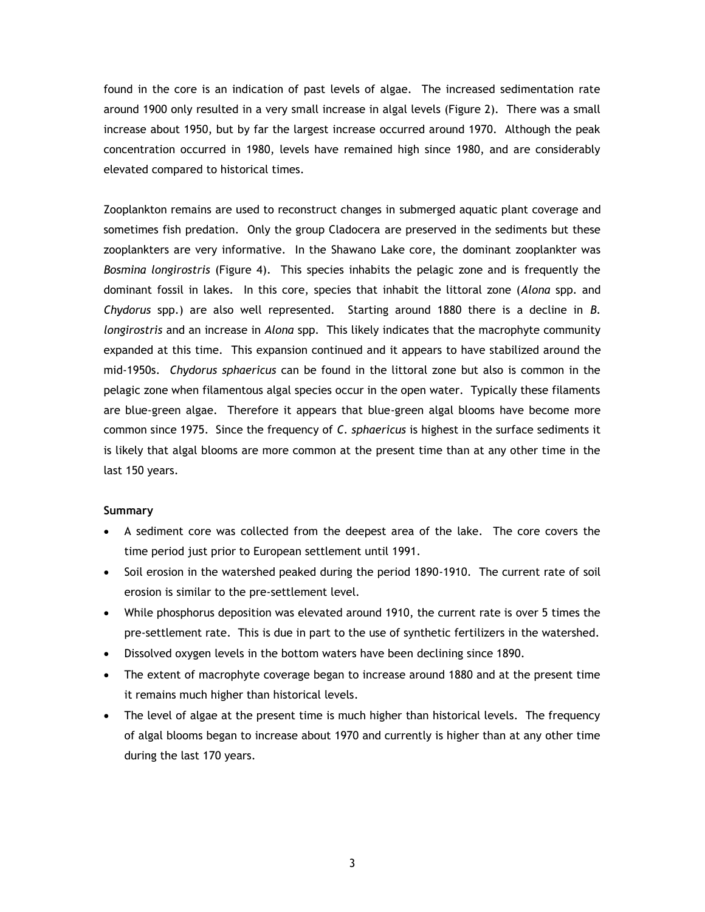found in the core is an indication of past levels of algae. The increased sedimentation rate around 1900 only resulted in a very small increase in algal levels (Figure 2). There was a small increase about 1950, but by far the largest increase occurred around 1970. Although the peak concentration occurred in 1980, levels have remained high since 1980, and are considerably elevated compared to historical times.

Zooplankton remains are used to reconstruct changes in submerged aquatic plant coverage and sometimes fish predation. Only the group Cladocera are preserved in the sediments but these zooplankters are very informative. In the Shawano Lake core, the dominant zooplankter was *Bosmina longirostris* (Figure 4). This species inhabits the pelagic zone and is frequently the dominant fossil in lakes. In this core, species that inhabit the littoral zone (*Alona* spp. and *Chydorus* spp.) are also well represented. Starting around 1880 there is a decline in *B. longirostris* and an increase in *Alona* spp. This likely indicates that the macrophyte community expanded at this time. This expansion continued and it appears to have stabilized around the mid-1950s. *Chydorus sphaericus* can be found in the littoral zone but also is common in the pelagic zone when filamentous algal species occur in the open water. Typically these filaments are blue-green algae. Therefore it appears that blue-green algal blooms have become more common since 1975. Since the frequency of *C. sphaericus* is highest in the surface sediments it is likely that algal blooms are more common at the present time than at any other time in the last 150 years.

## **Summary**

- A sediment core was collected from the deepest area of the lake. The core covers the time period just prior to European settlement until 1991.
- Soil erosion in the watershed peaked during the period 1890-1910. The current rate of soil erosion is similar to the pre-settlement level.
- While phosphorus deposition was elevated around 1910, the current rate is over 5 times the pre-settlement rate. This is due in part to the use of synthetic fertilizers in the watershed.
- Dissolved oxygen levels in the bottom waters have been declining since 1890.
- The extent of macrophyte coverage began to increase around 1880 and at the present time it remains much higher than historical levels.
- The level of algae at the present time is much higher than historical levels. The frequency of algal blooms began to increase about 1970 and currently is higher than at any other time during the last 170 years.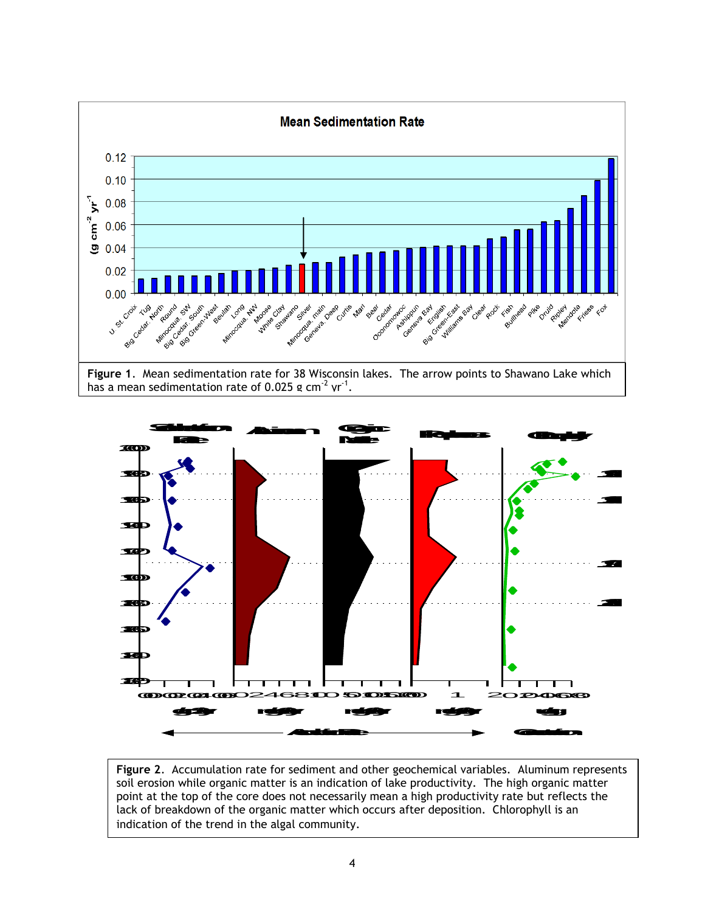



**Figure 2**. Accumulation rate for sediment and other geochemical variables. Aluminum represents soil erosion while organic matter is an indication of lake productivity. The high organic matter point at the top of the core does not necessarily mean a high productivity rate but reflects the lack of breakdown of the organic matter which occurs after deposition. Chlorophyll is an indication of the trend in the algal community.